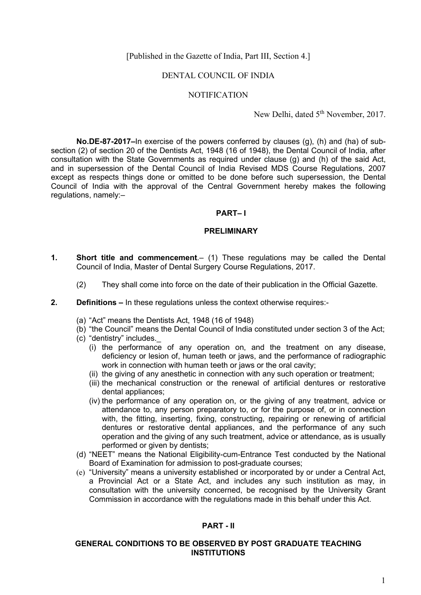[Published in the Gazette of India, Part III, Section 4.]

#### DENTAL COUNCIL OF INDIA

#### **NOTIFICATION**

New Delhi, dated 5<sup>th</sup> November, 2017.

**No.DE-87-2017–**In exercise of the powers conferred by clauses (g), (h) and (ha) of subsection (2) of section 20 of the Dentists Act, 1948 (16 of 1948), the Dental Council of India, after consultation with the State Governments as required under clause (g) and (h) of the said Act, and in supersession of the Dental Council of India Revised MDS Course Regulations, 2007 except as respects things done or omitted to be done before such supersession, the Dental Council of India with the approval of the Central Government hereby makes the following regulations, namely:–

#### **PART– I**

#### **PRELIMINARY**

- **1. Short title and commencement**.– (1) These regulations may be called the Dental Council of India, Master of Dental Surgery Course Regulations, 2017.
	- (2) They shall come into force on the date of their publication in the Official Gazette.
- **2. Definitions –** In these regulations unless the context otherwise requires:-
	- (a) "Act" means the Dentists Act, 1948 (16 of 1948)
	- (b) "the Council" means the Dental Council of India constituted under section 3 of the Act;
	- (c) "dentistry" includes.\_
		- (i) the performance of any operation on, and the treatment on any disease, deficiency or lesion of, human teeth or jaws, and the performance of radiographic work in connection with human teeth or jaws or the oral cavity;
		- (ii) the giving of any anesthetic in connection with any such operation or treatment;
		- (iii) the mechanical construction or the renewal of artificial dentures or restorative dental appliances;
		- (iv) the performance of any operation on, or the giving of any treatment, advice or attendance to, any person preparatory to, or for the purpose of, or in connection with, the fitting, inserting, fixing, constructing, repairing or renewing of artificial dentures or restorative dental appliances, and the performance of any such operation and the giving of any such treatment, advice or attendance, as is usually performed or given by dentists;
	- (d) "NEET" means the National Eligibility-cum-Entrance Test conducted by the National Board of Examination for admission to post-graduate courses;
	- (e) "University" means a university established or incorporated by or under a Central Act, a Provincial Act or a State Act, and includes any such institution as may, in consultation with the university concerned, be recognised by the University Grant Commission in accordance with the regulations made in this behalf under this Act.

#### **PART - II**

#### **GENERAL CONDITIONS TO BE OBSERVED BY POST GRADUATE TEACHING INSTITUTIONS**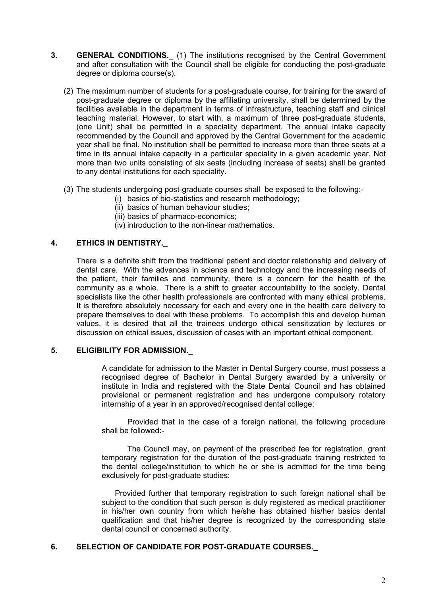- **3. GENERAL CONDITIONS.\_** (1) The institutions recognised by the Central Government and after consultation with the Council shall be eligible for conducting the post-graduate degree or diploma course(s).
	- (2) The maximum number of students for a post-graduate course, for training for the award of post-graduate degree or diploma by the affiliating university, shall be determined by the facilities available in the department in terms of infrastructure, teaching staff and clinical teaching material. However, to start with, a maximum of three post-graduate students, (one Unit) shall be permitted in a speciality department. The annual intake capacity recommended by the Council and approved by the Central Government for the academic year shall be final. No institution shall be permitted to increase more than three seats at a time in its annual intake capacity in a particular speciality in a given academic year. Not more than two units consisting of six seats (including increase of seats) shall be granted to any dental institutions for each speciality.
	- (3) The students undergoing post-graduate courses shall be exposed to the following:-
		- (i) basics of bio-statistics and research methodology;
		- (ii) basics of human behaviour studies;
		- (iii) basics of pharmaco-economics;
		- (iv) introduction to the non-linear mathematics.

## **4. ETHICS IN DENTISTRY.\_**

There is a definite shift from the traditional patient and doctor relationship and delivery of dental care. With the advances in science and technology and the increasing needs of the patient, their families and community, there is a concern for the health of the community as a whole. There is a shift to greater accountability to the society. Dental specialists like the other health professionals are confronted with many ethical problems. It is therefore absolutely necessary for each and every one in the health care delivery to prepare themselves to deal with these problems. To accomplish this and develop human values, it is desired that all the trainees undergo ethical sensitization by lectures or discussion on ethical issues, discussion of cases with an important ethical component.

#### **5. ELIGIBILITY FOR ADMISSION.\_**

A candidate for admission to the Master in Dental Surgery course, must possess a recognised degree of Bachelor in Dental Surgery awarded by a university or institute in India and registered with the State Dental Council and has obtained provisional or permanent registration and has undergone compulsory rotatory internship of a year in an approved/recognised dental college:

Provided that in the case of a foreign national, the following procedure shall be followed:-

The Council may, on payment of the prescribed fee for registration, grant temporary registration for the duration of the post-graduate training restricted to the dental college/institution to which he or she is admitted for the time being exclusively for post-graduate studies:

 Provided further that temporary registration to such foreign national shall be subject to the condition that such person is duly registered as medical practitioner in his/her own country from which he/she has obtained his/her basics dental qualification and that his/her degree is recognized by the corresponding state dental council or concerned authority.

## **6. SELECTION OF CANDIDATE FOR POST-GRADUATE COURSES.\_**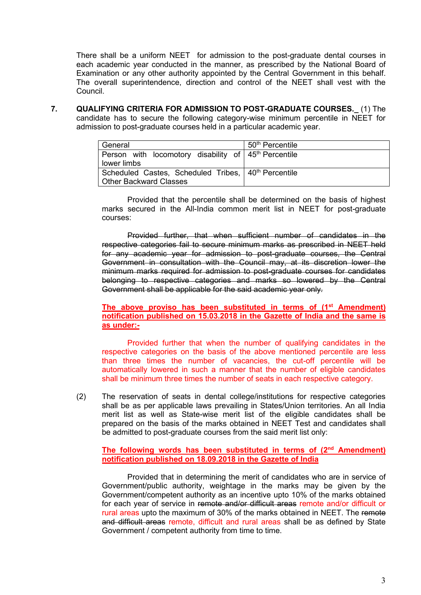There shall be a uniform NEET for admission to the post-graduate dental courses in each academic year conducted in the manner, as prescribed by the National Board of Examination or any other authority appointed by the Central Government in this behalf. The overall superintendence, direction and control of the NEET shall vest with the Council.

**7. QUALIFYING CRITERIA FOR ADMISSION TO POST-GRADUATE COURSES.\_** (1) The candidate has to secure the following category-wise minimum percentile in NEET for admission to post-graduate courses held in a particular academic year.

| General                                                          | 50 <sup>th</sup> Percentile |  |
|------------------------------------------------------------------|-----------------------------|--|
| Person with locomotory disability of 45 <sup>th</sup> Percentile |                             |  |
| lower limbs                                                      |                             |  |
| Scheduled Castes, Scheduled Tribes, 140 <sup>th</sup> Percentile |                             |  |
| Other Backward Classes                                           |                             |  |

Provided that the percentile shall be determined on the basis of highest marks secured in the All-India common merit list in NEET for post-graduate courses:

Provided further, that when sufficient number of candidates in the respective categories fail to secure minimum marks as prescribed in NEET held for any academic year for admission to post-graduate courses, the Central Government in consultation with the Council may, at its discretion lower the minimum marks required for admission to post-graduate courses for candidates belonging to respective categories and marks so lowered by the Central Government shall be applicable for the said academic year only.

## **The above proviso has been substituted in terms of (1st Amendment) notification published on 15.03.2018 in the Gazette of India and the same is as under:-**

Provided further that when the number of qualifying candidates in the respective categories on the basis of the above mentioned percentile are less than three times the number of vacancies, the cut-off percentile will be automatically lowered in such a manner that the number of eligible candidates shall be minimum three times the number of seats in each respective category.

(2) The reservation of seats in dental college/institutions for respective categories shall be as per applicable laws prevailing in States/Union territories. An all India merit list as well as State-wise merit list of the eligible candidates shall be prepared on the basis of the marks obtained in NEET Test and candidates shall be admitted to post-graduate courses from the said merit list only:

## **The following words has been substituted in terms of (2nd Amendment) notification published on 18.09.2018 in the Gazette of India**

Provided that in determining the merit of candidates who are in service of Government/public authority, weightage in the marks may be given by the Government/competent authority as an incentive upto 10% of the marks obtained for each year of service in remote and/or difficult areas remote and/or difficult or rural areas upto the maximum of 30% of the marks obtained in NEET. The remote and difficult areas remote, difficult and rural areas shall be as defined by State Government / competent authority from time to time.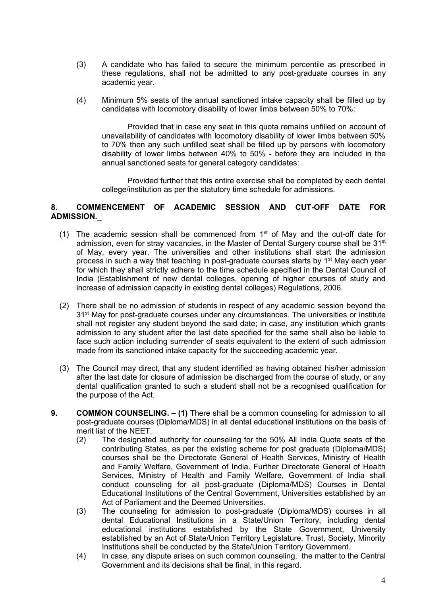- (3) A candidate who has failed to secure the minimum percentile as prescribed in these regulations, shall not be admitted to any post-graduate courses in any academic year.
- (4) Minimum 5% seats of the annual sanctioned intake capacity shall be filled up by candidates with locomotory disability of lower limbs between 50% to 70%:

Provided that in case any seat in this quota remains unfilled on account of unavailability of candidates with locomotory disability of lower limbs between 50% to 70% then any such unfilled seat shall be filled up by persons with locomotory disability of lower limbs between 40% to 50% - before they are included in the annual sanctioned seats for general category candidates:

Provided further that this entire exercise shall be completed by each dental college/institution as per the statutory time schedule for admissions.

## **8. COMMENCEMENT OF ACADEMIC SESSION AND CUT-OFF DATE FOR ADMISSION.\_**

- (1) The academic session shall be commenced from  $1<sup>st</sup>$  of May and the cut-off date for admission, even for stray vacancies, in the Master of Dental Surgery course shall be 31<sup>st</sup> of May, every year. The universities and other institutions shall start the admission process in such a way that teaching in post-graduate courses starts by 1<sup>st</sup> May each year for which they shall strictly adhere to the time schedule specified in the Dental Council of India (Establishment of new dental colleges, opening of higher courses of study and increase of admission capacity in existing dental colleges) Regulations, 2006.
- (2) There shall be no admission of students in respect of any academic session beyond the 31<sup>st</sup> May for post-graduate courses under any circumstances. The universities or institute shall not register any student beyond the said date; in case, any institution which grants admission to any student after the last date specified for the same shall also be liable to face such action including surrender of seats equivalent to the extent of such admission made from its sanctioned intake capacity for the succeeding academic year.
- (3) The Council may direct, that any student identified as having obtained his/her admission after the last date for closure of admission be discharged from the course of study, or any dental qualification granted to such a student shall not be a recognised qualification for the purpose of the Act.
- **9. COMMON COUNSELING. – (1)** There shall be a common counseling for admission to all post-graduate courses (Diploma/MDS) in all dental educational institutions on the basis of merit list of the NEET.
	- (2) The designated authority for counseling for the 50% All India Quota seats of the contributing States, as per the existing scheme for post graduate (Diploma/MDS) courses shall be the Directorate General of Health Services, Ministry of Health and Family Welfare, Government of India. Further Directorate General of Health Services, Ministry of Health and Family Welfare, Government of India shall conduct counseling for all post-graduate (Diploma/MDS) Courses in Dental Educational Institutions of the Central Government, Universities established by an Act of Parliament and the Deemed Universities.
	- (3) The counseling for admission to post-graduate (Diploma/MDS) courses in all dental Educational Institutions in a State/Union Territory, including dental educational institutions established by the State Government, University established by an Act of State/Union Territory Legislature, Trust, Society, Minority Institutions shall be conducted by the State/Union Territory Government.
	- (4) In case, any dispute arises on such common counseling, the matter to the Central Government and its decisions shall be final, in this regard.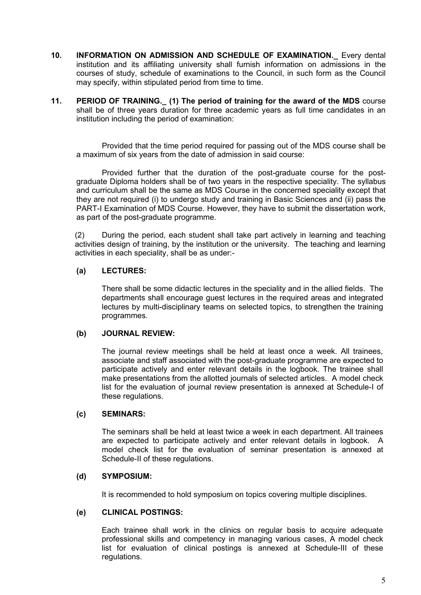- **10. INFORMATION ON ADMISSION AND SCHEDULE OF EXAMINATION.\_** Every dental institution and its affiliating university shall furnish information on admissions in the courses of study, schedule of examinations to the Council, in such form as the Council may specify, within stipulated period from time to time.
- **11. PERIOD OF TRAINING.\_ (1) The period of training for the award of the MDS** course shall be of three years duration for three academic years as full time candidates in an institution including the period of examination:

Provided that the time period required for passing out of the MDS course shall be a maximum of six years from the date of admission in said course:

Provided further that the duration of the post-graduate course for the postgraduate Diploma holders shall be of two years in the respective speciality. The syllabus and curriculum shall be the same as MDS Course in the concerned speciality except that they are not required (i) to undergo study and training in Basic Sciences and (ii) pass the PART-I Examination of MDS Course. However, they have to submit the dissertation work, as part of the post-graduate programme.

(2) During the period, each student shall take part actively in learning and teaching activities design of training, by the institution or the university. The teaching and learning activities in each speciality, shall be as under:-

## **(a) LECTURES:**

There shall be some didactic lectures in the speciality and in the allied fields. The departments shall encourage guest lectures in the required areas and integrated lectures by multi-disciplinary teams on selected topics, to strengthen the training programmes.

## **(b) JOURNAL REVIEW:**

The journal review meetings shall be held at least once a week. All trainees, associate and staff associated with the post-graduate programme are expected to participate actively and enter relevant details in the logbook. The trainee shall make presentations from the allotted journals of selected articles. A model check list for the evaluation of journal review presentation is annexed at Schedule-I of these regulations.

# **(c) SEMINARS:**

The seminars shall be held at least twice a week in each department. All trainees are expected to participate actively and enter relevant details in logbook. A model check list for the evaluation of seminar presentation is annexed at Schedule-II of these regulations.

#### **(d) SYMPOSIUM:**

It is recommended to hold symposium on topics covering multiple disciplines.

## **(e) CLINICAL POSTINGS:**

Each trainee shall work in the clinics on regular basis to acquire adequate professional skills and competency in managing various cases, A model check list for evaluation of clinical postings is annexed at Schedule-III of these regulations.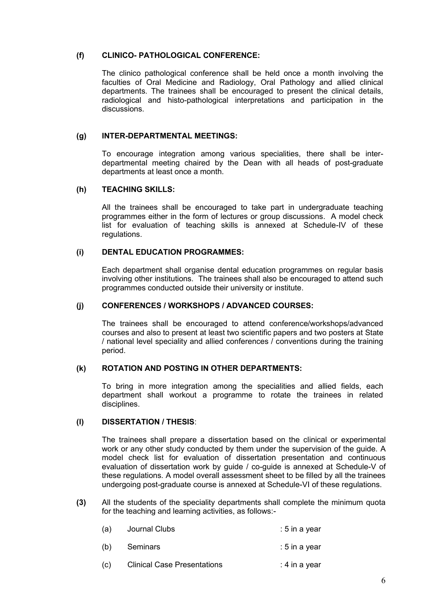#### **(f) CLINICO- PATHOLOGICAL CONFERENCE:**

The clinico pathological conference shall be held once a month involving the faculties of Oral Medicine and Radiology, Oral Pathology and allied clinical departments. The trainees shall be encouraged to present the clinical details, radiological and histo-pathological interpretations and participation in the discussions.

#### **(g) INTER-DEPARTMENTAL MEETINGS:**

To encourage integration among various specialities, there shall be interdepartmental meeting chaired by the Dean with all heads of post-graduate departments at least once a month.

#### **(h) TEACHING SKILLS:**

All the trainees shall be encouraged to take part in undergraduate teaching programmes either in the form of lectures or group discussions. A model check list for evaluation of teaching skills is annexed at Schedule-IV of these regulations.

#### **(i) DENTAL EDUCATION PROGRAMMES:**

Each department shall organise dental education programmes on regular basis involving other institutions. The trainees shall also be encouraged to attend such programmes conducted outside their university or institute.

## **(j) CONFERENCES / WORKSHOPS / ADVANCED COURSES:**

The trainees shall be encouraged to attend conference/workshops/advanced courses and also to present at least two scientific papers and two posters at State / national level speciality and allied conferences / conventions during the training period.

## **(k) ROTATION AND POSTING IN OTHER DEPARTMENTS:**

To bring in more integration among the specialities and allied fields, each department shall workout a programme to rotate the trainees in related disciplines.

## **(l) DISSERTATION / THESIS**:

The trainees shall prepare a dissertation based on the clinical or experimental work or any other study conducted by them under the supervision of the guide. A model check list for evaluation of dissertation presentation and continuous evaluation of dissertation work by guide / co-guide is annexed at Schedule-V of these regulations. A model overall assessment sheet to be filled by all the trainees undergoing post-graduate course is annexed at Schedule-VI of these regulations.

**(3)** All the students of the speciality departments shall complete the minimum quota for the teaching and learning activities, as follows:-

| (a) | Journal Clubs                      | $: 5$ in a year |  |
|-----|------------------------------------|-----------------|--|
| (b) | Seminars                           | $: 5$ in a year |  |
| (c) | <b>Clinical Case Presentations</b> | : 4 in a year   |  |